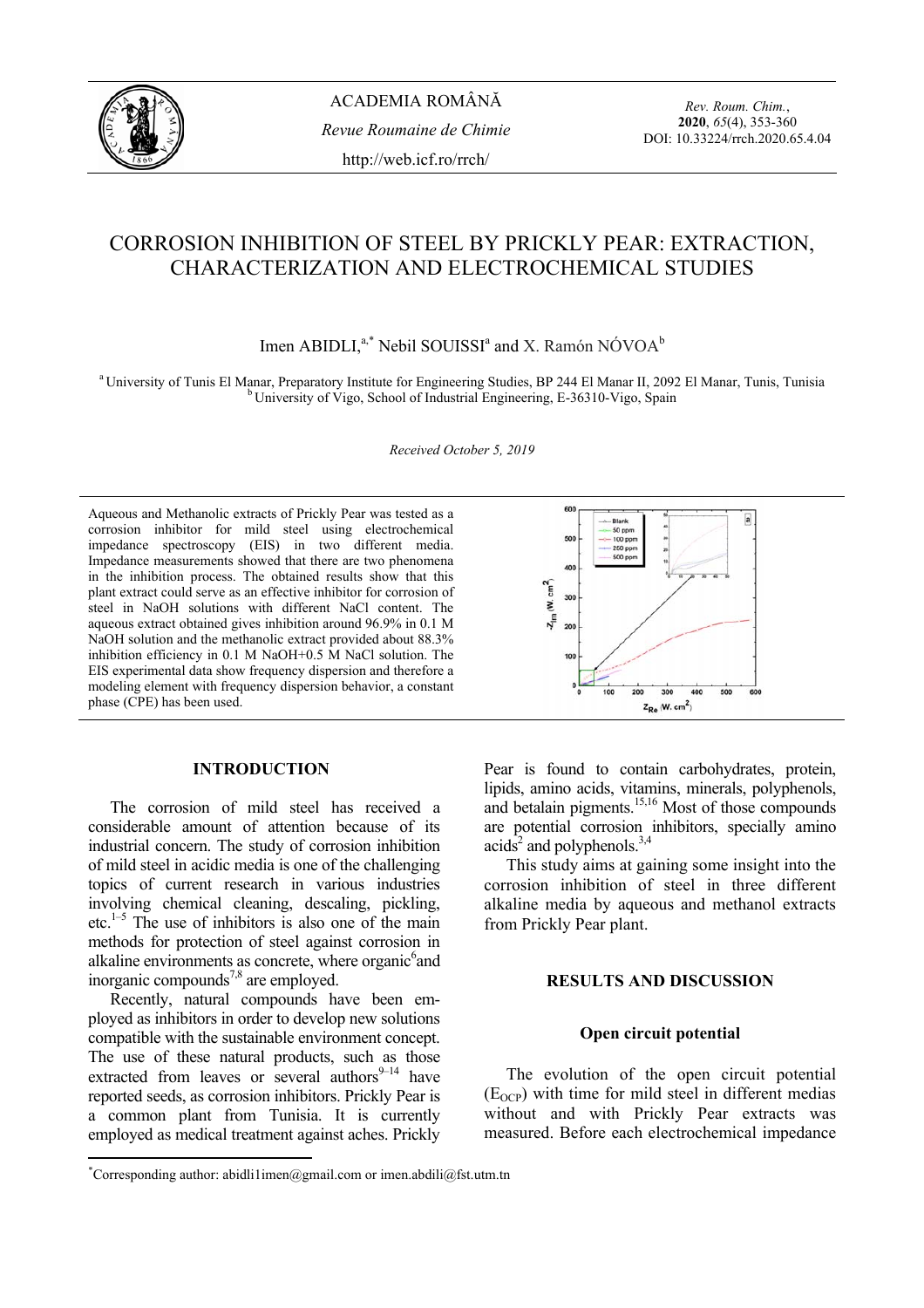

ACADEMIA ROMÂNĂ *Revue Roumaine de Chimie*  http://web.icf.ro/rrch/

*Rev. Roum. Chim.*, **2020**, *65*(4), 353-360 DOI: 10.33224/rrch.2020.65.4.04

# CORROSION INHIBITION OF STEEL BY PRICKLY PEAR: EXTRACTION, CHARACTERIZATION AND ELECTROCHEMICAL STUDIES

Imen ABIDLI, $a^*$  Nebil SOUISSI<sup>a</sup> and X. Ramón NÓVOA<sup>b</sup>

<sup>a</sup> University of Tunis El Manar, Preparatory Institute for Engineering Studies, BP 244 El Manar II, 2092 El Manar, Tunis, Tunisia b University of Vigo, School of Industrial Engineering, E-36310-Vigo, Spain

*Received October 5, 2019*

Aqueous and Methanolic extracts of Prickly Pear was tested as a corrosion inhibitor for mild steel using electrochemical impedance spectroscopy (EIS) in two different media. Impedance measurements showed that there are two phenomena in the inhibition process. The obtained results show that this plant extract could serve as an effective inhibitor for corrosion of steel in NaOH solutions with different NaCl content. The aqueous extract obtained gives inhibition around 96.9% in 0.1 M NaOH solution and the methanolic extract provided about 88.3% inhibition efficiency in 0.1 M NaOH+0.5 M NaCl solution. The EIS experimental data show frequency dispersion and therefore a modeling element with frequency dispersion behavior, a constant phase (CPE) has been used.



# **INTRODUCTION\***

 The corrosion of mild steel has received a considerable amount of attention because of its industrial concern. The study of corrosion inhibition of mild steel in acidic media is one of the challenging topics of current research in various industries involving chemical cleaning, descaling, pickling, etc. $1-5$  The use of inhibitors is also one of the main methods for protection of steel against corrosion in alkaline environments as concrete, where organic<sup>6</sup> and inorganic compounds<sup>7,8</sup> are employed.

 Recently, natural compounds have been employed as inhibitors in order to develop new solutions compatible with the sustainable environment concept. The use of these natural products, such as those extracted from leaves or several authors $9-14$  have reported seeds, as corrosion inhibitors. Prickly Pear is a common plant from Tunisia. It is currently employed as medical treatment against aches. Prickly

 $\overline{\phantom{a}}$ 

Pear is found to contain carbohydrates, protein, lipids, amino acids, vitamins, minerals, polyphenols, and betalain pigments.<sup>15,16</sup> Most of those compounds are potential corrosion inhibitors, specially amino acids<sup>2</sup> and polyphenols.<sup>3,4</sup>

 This study aims at gaining some insight into the corrosion inhibition of steel in three different alkaline media by aqueous and methanol extracts from Prickly Pear plant.

# **RESULTS AND DISCUSSION**

# **Open circuit potential**

 The evolution of the open circuit potential  $(E<sub>OCP</sub>)$  with time for mild steel in different medias without and with Prickly Pear extracts was measured. Before each electrochemical impedance

<sup>\*</sup> Corresponding author: abidli1imen@gmail.com or imen.abdili@fst.utm.tn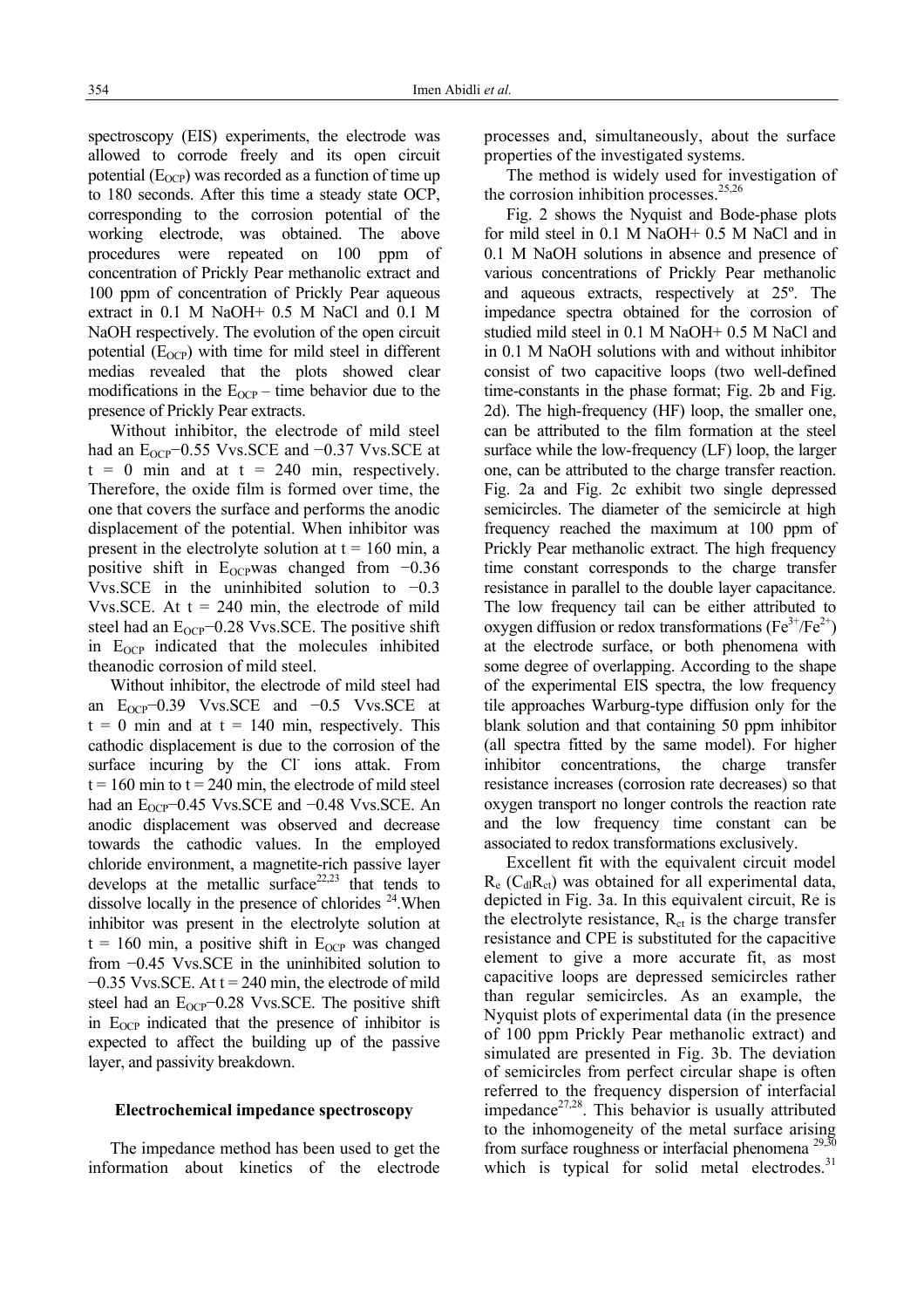spectroscopy (EIS) experiments, the electrode was allowed to corrode freely and its open circuit potential  $(E_{OCP})$  was recorded as a function of time up to 180 seconds. After this time a steady state OCP, corresponding to the corrosion potential of the working electrode, was obtained. The above procedures were repeated on 100 ppm of concentration of Prickly Pear methanolic extract and 100 ppm of concentration of Prickly Pear aqueous extract in 0.1 M NaOH+ 0.5 M NaCl and 0.1 M NaOH respectively. The evolution of the open circuit potential  $(E_{\Omega CP})$  with time for mild steel in different medias revealed that the plots showed clear modifications in the  $E_{OCP}$  – time behavior due to the presence of Prickly Pear extracts.

 Without inhibitor, the electrode of mild steel had an  $E_{OCP}$ −0.55 Vvs.SCE and −0.37 Vvs.SCE at  $t = 0$  min and at  $t = 240$  min, respectively. Therefore, the oxide film is formed over time, the one that covers the surface and performs the anodic displacement of the potential. When inhibitor was present in the electrolyte solution at  $t = 160$  min, a positive shift in E<sub>OCP</sub>was changed from  $-0.36$ Vvs. SCE in the uninhibited solution to  $-0.3$ Vvs. SCE. At  $t = 240$  min, the electrode of mild steel had an E<sub>OCP</sub>-0.28 Vvs.SCE. The positive shift in  $E_{OCP}$  indicated that the molecules inhibited theanodic corrosion of mild steel.

Without inhibitor, the electrode of mild steel had an  $E_{OCP}$ −0.39 Vvs.SCE and −0.5 Vvs.SCE at  $t = 0$  min and at  $t = 140$  min, respectively. This cathodic displacement is due to the corrosion of the surface incuring by the Cl ions attak. From  $t = 160$  min to  $t = 240$  min, the electrode of mild steel had an  $E_{OCP}$ −0.45 Vvs.SCE and −0.48 Vvs.SCE. An anodic displacement was observed and decrease towards the cathodic values. In the employed chloride environment, a magnetite-rich passive layer develops at the metallic surface<sup>22,23</sup> that tends to dissolve locally in the presence of chlorides  $24$ . When inhibitor was present in the electrolyte solution at  $t = 160$  min, a positive shift in E<sub>OCP</sub> was changed from −0.45 Vvs.SCE in the uninhibited solution to  $-0.35$  Vvs. SCE. At t = 240 min, the electrode of mild steel had an  $E_{OCP}$ −0.28 Vvs.SCE. The positive shift in  $E_{OCP}$  indicated that the presence of inhibitor is expected to affect the building up of the passive layer, and passivity breakdown.

# **Electrochemical impedance spectroscopy**

The impedance method has been used to get the information about kinetics of the electrode processes and, simultaneously, about the surface properties of the investigated systems.

The method is widely used for investigation of the corrosion inhibition processes. $25,26$ 

Fig. 2 shows the Nyquist and Bode-phase plots for mild steel in 0.1 M NaOH+ 0.5 M NaCl and in 0.1 M NaOH solutions in absence and presence of various concentrations of Prickly Pear methanolic and aqueous extracts, respectively at 25º. The impedance spectra obtained for the corrosion of studied mild steel in 0.1 M NaOH+ 0.5 M NaCl and in 0.1 M NaOH solutions with and without inhibitor consist of two capacitive loops (two well-defined time-constants in the phase format; Fig. 2b and Fig. 2d). The high-frequency (HF) loop, the smaller one, can be attributed to the film formation at the steel surface while the low-frequency (LF) loop, the larger one, can be attributed to the charge transfer reaction. Fig. 2a and Fig. 2c exhibit two single depressed semicircles. The diameter of the semicircle at high frequency reached the maximum at 100 ppm of Prickly Pear methanolic extract. The high frequency time constant corresponds to the charge transfer resistance in parallel to the double layer capacitance. The low frequency tail can be either attributed to oxygen diffusion or redox transformations ( $Fe^{3+}/Fe^{2+}$ ) at the electrode surface, or both phenomena with some degree of overlapping. According to the shape of the experimental EIS spectra, the low frequency tile approaches Warburg-type diffusion only for the blank solution and that containing 50 ppm inhibitor (all spectra fitted by the same model). For higher inhibitor concentrations, the charge transfer resistance increases (corrosion rate decreases) so that oxygen transport no longer controls the reaction rate and the low frequency time constant can be associated to redox transformations exclusively.

Excellent fit with the equivalent circuit model  $R_e$  (C<sub>dl</sub>R<sub>ct</sub>) was obtained for all experimental data, depicted in Fig. 3a. In this equivalent circuit, Re is the electrolyte resistance,  $R_{ct}$  is the charge transfer resistance and CPE is substituted for the capacitive element to give a more accurate fit, as most capacitive loops are depressed semicircles rather than regular semicircles. As an example, the Nyquist plots of experimental data (in the presence of 100 ppm Prickly Pear methanolic extract) and simulated are presented in Fig. 3b. The deviation of semicircles from perfect circular shape is often referred to the frequency dispersion of interfacial impedance $27,28$ . This behavior is usually attributed to the inhomogeneity of the metal surface arising from surface roughness or interfacial phenomena  $^{29,50}$ which is typical for solid metal electrodes. $31$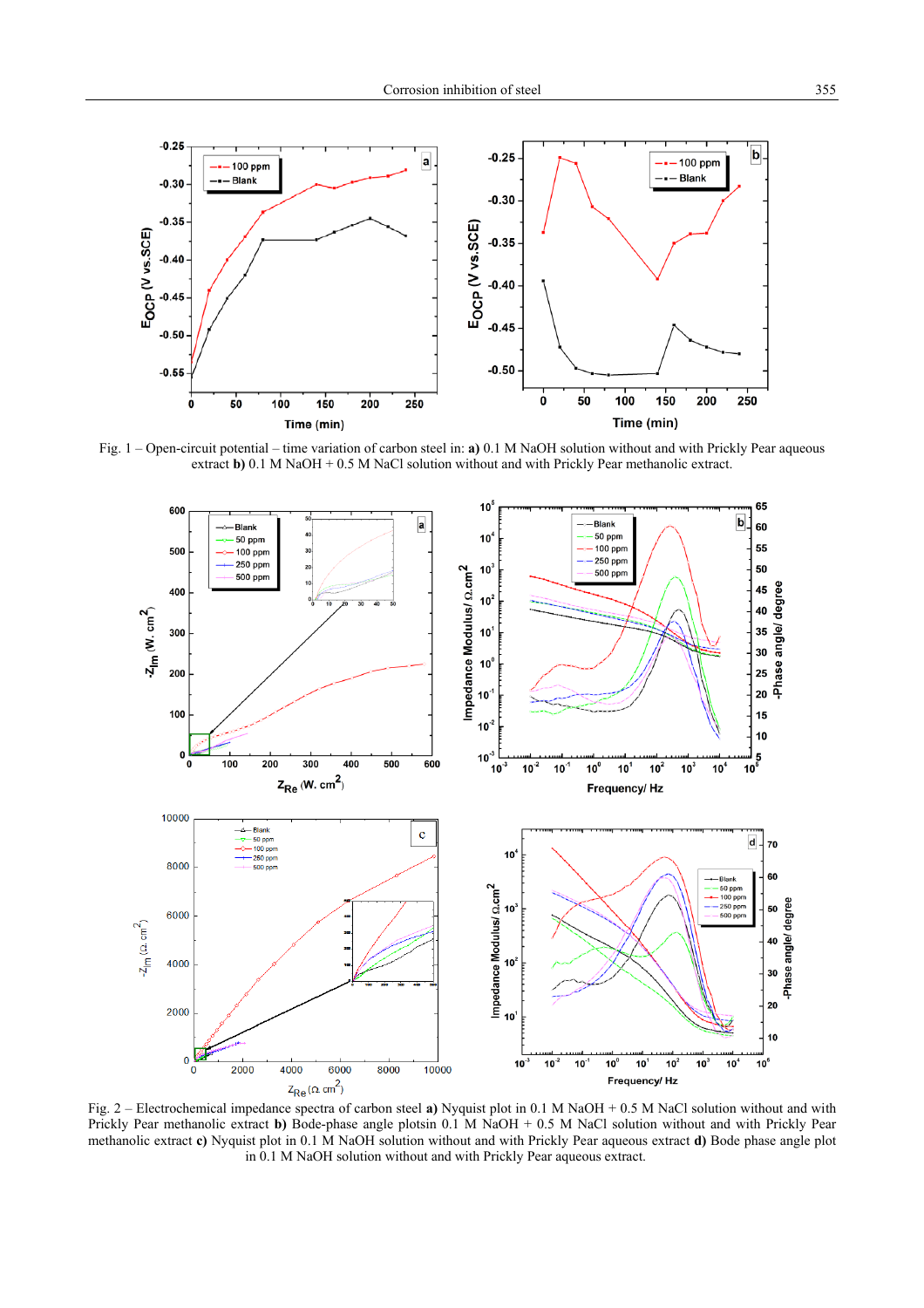

Fig. 1 – Open-circuit potential – time variation of carbon steel in: **a)** 0.1 M NaOH solution without and with Prickly Pear aqueous extract **b**) 0.1 M NaOH + 0.5 M NaCl solution without and with Prickly Pear methanolic extract.



Prickly Pear methanolic extract **b)** Bode-phase angle plotsin 0.1 M NaOH + 0.5 M NaCl solution without and with Prickly Pear methanolic extract **c)** Nyquist plot in 0.1 M NaOH solution without and with Prickly Pear aqueous extract **d)** Bode phase angle plot in 0.1 M NaOH solution without and with Prickly Pear aqueous extract.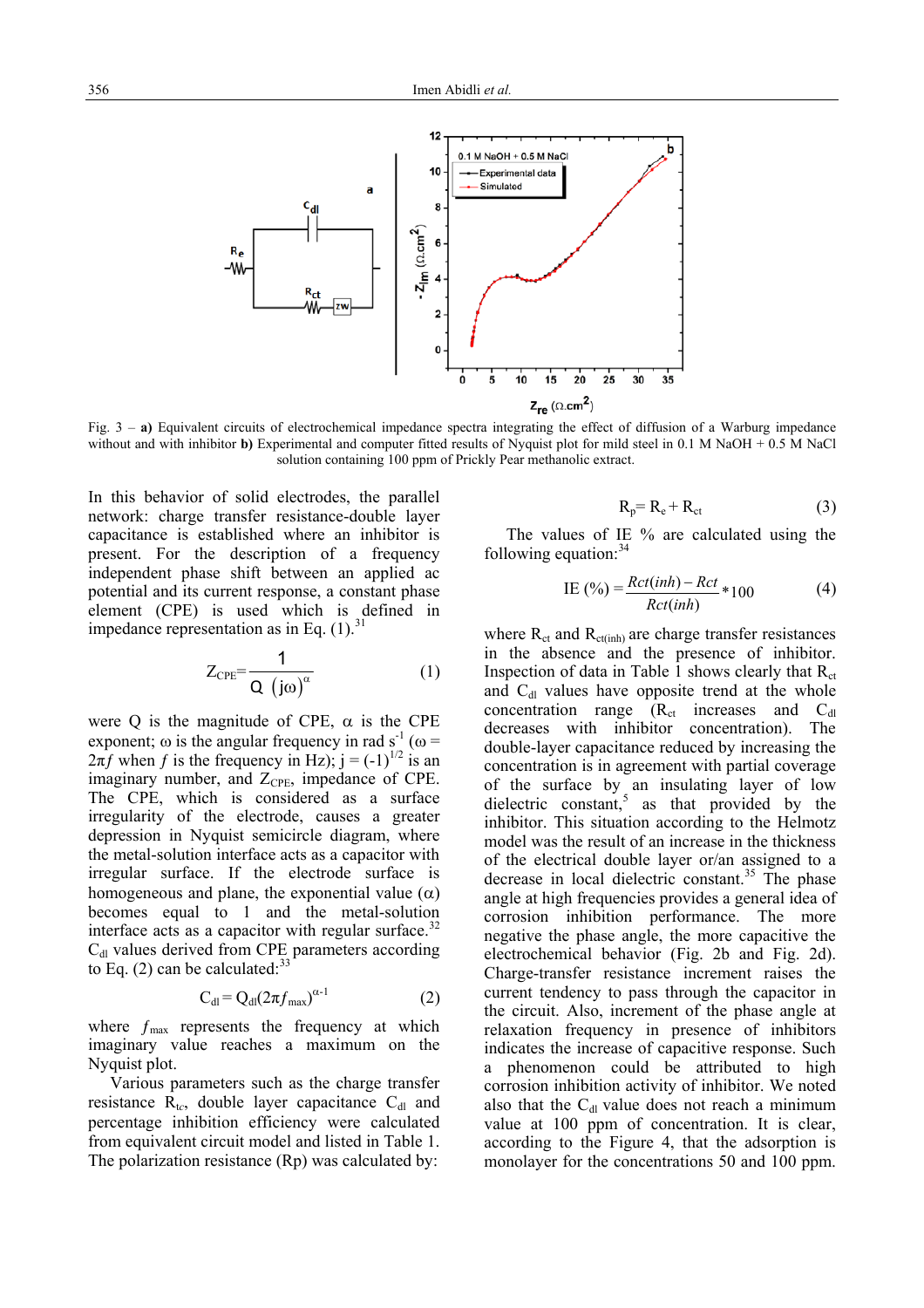

Fig. 3 – **a)** Equivalent circuits of electrochemical impedance spectra integrating the effect of diffusion of a Warburg impedance without and with inhibitor **b**) Experimental and computer fitted results of Nyquist plot for mild steel in 0.1 M NaOH + 0.5 M NaCl solution containing 100 ppm of Prickly Pear methanolic extract.

In this behavior of solid electrodes, the parallel network: charge transfer resistance-double layer capacitance is established where an inhibitor is present. For the description of a frequency independent phase shift between an applied ac potential and its current response, a constant phase element (CPE) is used which is defined in impedance representation as in Eq.  $(1)$ .<sup>3</sup>

$$
Z_{\rm CPE} = \frac{1}{Q \left( j\omega \right)^{\alpha}} \tag{1}
$$

were Q is the magnitude of CPE,  $\alpha$  is the CPE exponent;  $\omega$  is the angular frequency in rad s<sup>-1</sup> ( $\omega$  =  $2\pi f$  when f is the frequency in Hz); j = (-1)<sup>1/2</sup> is an imaginary number, and  $Z_{\text{CPE}}$ , impedance of CPE. The CPE, which is considered as a surface irregularity of the electrode, causes a greater depression in Nyquist semicircle diagram, where the metal-solution interface acts as a capacitor with irregular surface. If the electrode surface is homogeneous and plane, the exponential value  $(\alpha)$ becomes equal to 1 and the metal-solution interface acts as a capacitor with regular surface. $32$  $C<sub>dl</sub>$  values derived from CPE parameters according to Eq. (2) can be calculated: $33$ 

$$
C_{\rm dl} = Q_{\rm dl} (2\pi f_{\rm max})^{\alpha - 1} \tag{2}
$$

where  $f_{\text{max}}$  represents the frequency at which imaginary value reaches a maximum on the Nyquist plot.

 Various parameters such as the charge transfer resistance  $R_{tc}$ , double layer capacitance  $C_{dl}$  and percentage inhibition efficiency were calculated from equivalent circuit model and listed in Table 1. The polarization resistance (Rp) was calculated by:

$$
R_p = R_e + R_{ct} \tag{3}
$$

The values of IE % are calculated using the following equation: $34$ 

$$
IE (%) = \frac{Rct(inh) - Ret}{Rct(inh)} * 100
$$
 (4)

where  $R_{ct}$  and  $R_{ct(int)}$  are charge transfer resistances in the absence and the presence of inhibitor. Inspection of data in Table 1 shows clearly that  $R_{ct}$ and  $C_{d}$  values have opposite trend at the whole concentration range  $(R_{ct}$  increases and  $C_{d}$ decreases with inhibitor concentration). The double-layer capacitance reduced by increasing the concentration is in agreement with partial coverage of the surface by an insulating layer of low dielectric constant,<sup>5</sup> as that provided by the inhibitor. This situation according to the Helmotz model was the result of an increase in the thickness of the electrical double layer or/an assigned to a decrease in local dielectric constant.<sup>35</sup> The phase angle at high frequencies provides a general idea of corrosion inhibition performance. The more negative the phase angle, the more capacitive the electrochemical behavior (Fig. 2b and Fig. 2d). Charge-transfer resistance increment raises the current tendency to pass through the capacitor in the circuit. Also, increment of the phase angle at relaxation frequency in presence of inhibitors indicates the increase of capacitive response. Such a phenomenon could be attributed to high corrosion inhibition activity of inhibitor. We noted also that the  $C_{dl}$  value does not reach a minimum value at 100 ppm of concentration. It is clear, according to the Figure 4, that the adsorption is monolayer for the concentrations 50 and 100 ppm.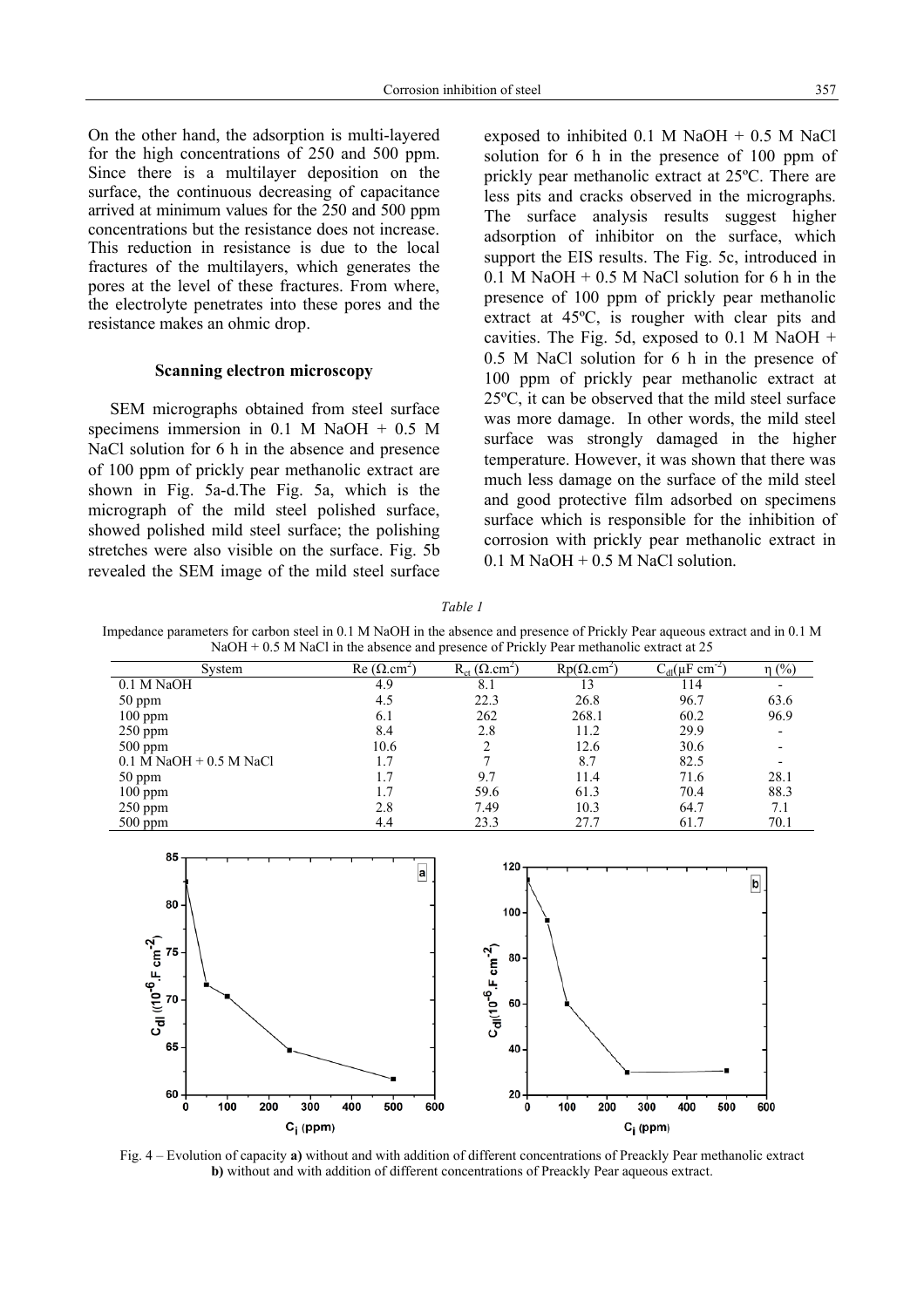On the other hand, the adsorption is multi-layered for the high concentrations of 250 and 500 ppm. Since there is a multilayer deposition on the surface, the continuous decreasing of capacitance arrived at minimum values for the 250 and 500 ppm concentrations but the resistance does not increase. This reduction in resistance is due to the local fractures of the multilayers, which generates the pores at the level of these fractures. From where, the electrolyte penetrates into these pores and the resistance makes an ohmic drop.

# **Scanning electron microscopy**

 SEM micrographs obtained from steel surface specimens immersion in  $0.1$  M NaOH +  $0.5$  M NaCl solution for 6 h in the absence and presence of 100 ppm of prickly pear methanolic extract are shown in Fig. 5a-d.The Fig. 5a, which is the micrograph of the mild steel polished surface, showed polished mild steel surface; the polishing stretches were also visible on the surface. Fig. 5b revealed the SEM image of the mild steel surface exposed to inhibited  $0.1$  M NaOH +  $0.5$  M NaCl solution for 6 h in the presence of 100 ppm of prickly pear methanolic extract at 25ºC. There are less pits and cracks observed in the micrographs. The surface analysis results suggest higher adsorption of inhibitor on the surface, which support the EIS results. The Fig. 5c, introduced in  $0.1$  M NaOH + 0.5 M NaCl solution for 6 h in the presence of 100 ppm of prickly pear methanolic extract at 45ºC, is rougher with clear pits and cavities. The Fig. 5d, exposed to  $0.1$  M NaOH + 0.5 M NaCl solution for 6 h in the presence of 100 ppm of prickly pear methanolic extract at 25ºC, it can be observed that the mild steel surface was more damage. In other words, the mild steel surface was strongly damaged in the higher temperature. However, it was shown that there was much less damage on the surface of the mild steel and good protective film adsorbed on specimens surface which is responsible for the inhibition of corrosion with prickly pear methanolic extract in  $0.1$  M NaOH +  $0.5$  M NaCl solution.

*Table 1*

Impedance parameters for carbon steel in 0.1 M NaOH in the absence and presence of Prickly Pear aqueous extract and in 0.1 M NaOH + 0.5 M NaCl in the absence and presence of Prickly Pear methanolic extract at 25

| System                      | Re $(\Omega$ cm <sup>2</sup> | $R_{ct}$ ( $\Omega.cm^2$ ) | $Rp(\Omega.cm^2)$ | $C_{dl}(\mu F \text{ cm}^{-2})$ | $\eta$ (%) |
|-----------------------------|------------------------------|----------------------------|-------------------|---------------------------------|------------|
| 0.1 M NaOH                  | 4.9                          | 8.1                        |                   | 114                             |            |
| 50 ppm                      | 4.5                          | 22.3                       | 26.8              | 96.7                            | 63.6       |
| $100$ ppm                   | 6.1                          | 262                        | 268.1             | 60.2                            | 96.9       |
| $250$ ppm                   | 8.4                          | 2.8                        | 11.2              | 29.9                            |            |
| $500$ ppm                   | 10.6                         | 2                          | 12.6              | 30.6                            |            |
| $0.1$ M NaOH $+$ 0.5 M NaCl | 1.7                          |                            | 8.7               | 82.5                            |            |
| 50 ppm                      |                              | 9.7                        | 11.4              | 71.6                            | 28.1       |
| $100$ ppm                   |                              | 59.6                       | 61.3              | 70.4                            | 88.3       |
| $250$ ppm                   | 2.8                          | 7.49                       | 10.3              | 64.7                            | 7.1        |
| $500$ ppm                   | 4.4                          | 23.3                       | 27.7              | 61.7                            | 70.1       |



Fig. 4 – Evolution of capacity **a)** without and with addition of different concentrations of Preackly Pear methanolic extract **b)** without and with addition of different concentrations of Preackly Pear aqueous extract.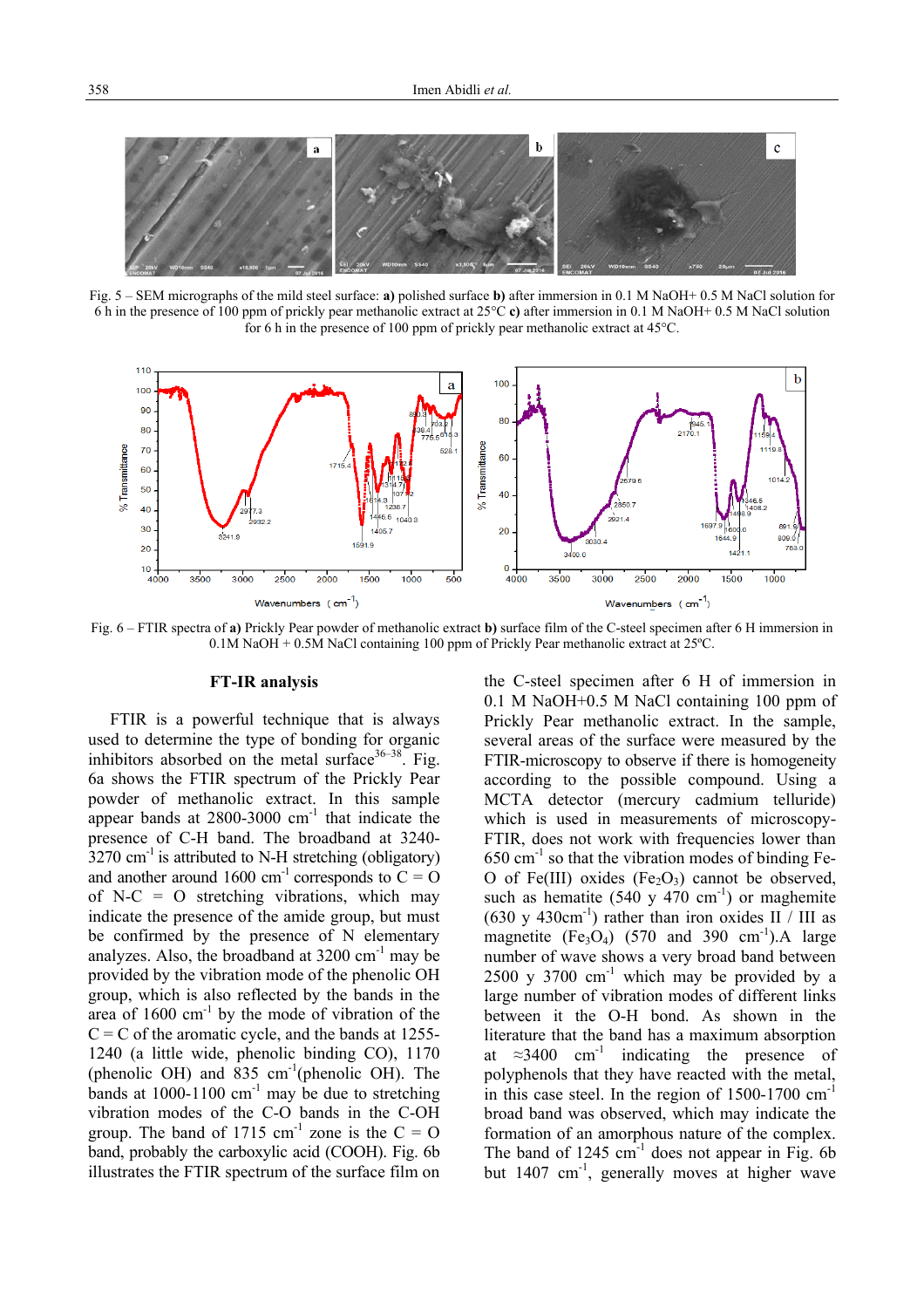

Fig. 5 – SEM micrographs of the mild steel surface: **a)** polished surface **b)** after immersion in 0.1 M NaOH+ 0.5 M NaCl solution for 6 h in the presence of 100 ppm of prickly pear methanolic extract at 25°C **c)** after immersion in 0.1 M NaOH+ 0.5 M NaCl solution for 6 h in the presence of 100 ppm of prickly pear methanolic extract at 45°C.



Fig. 6 – FTIR spectra of **a)** Prickly Pear powder of methanolic extract **b)** surface film of the C-steel specimen after 6 H immersion in 0.1M NaOH + 0.5M NaCl containing 100 ppm of Prickly Pear methanolic extract at 25ºC.

# **FT-IR analysis**

 FTIR is a powerful technique that is always used to determine the type of bonding for organic inhibitors absorbed on the metal surface<sup>36–38</sup>. Fig. 6a shows the FTIR spectrum of the Prickly Pear powder of methanolic extract. In this sample appear bands at  $2800-3000$   $cm^{-1}$  that indicate the presence of C-H band. The broadband at 3240-  $3270 \text{ cm}^{-1}$  is attributed to N-H stretching (obligatory) and another around 1600 cm<sup>-1</sup> corresponds to  $C = O$ of  $N-C = O$  stretching vibrations, which may indicate the presence of the amide group, but must be confirmed by the presence of N elementary analyzes. Also, the broadband at  $3200 \text{ cm}^{-1}$  may be provided by the vibration mode of the phenolic OH group, which is also reflected by the bands in the area of  $1600 \text{ cm}^{-1}$  by the mode of vibration of the  $C = C$  of the aromatic cycle, and the bands at 1255-1240 (a little wide, phenolic binding CO), 1170 (phenolic OH) and 835  $cm^{-1}$ (phenolic OH). The bands at  $1000-1100$  cm<sup>-1</sup> may be due to stretching vibration modes of the C-O bands in the C-OH group. The band of 1715  $cm^{-1}$  zone is the C = O band, probably the carboxylic acid (COOH). Fig. 6b illustrates the FTIR spectrum of the surface film on the C-steel specimen after 6 H of immersion in 0.1 M NaOH+0.5 M NaCl containing 100 ppm of Prickly Pear methanolic extract. In the sample, several areas of the surface were measured by the FTIR-microscopy to observe if there is homogeneity according to the possible compound. Using a MCTA detector (mercury cadmium telluride) which is used in measurements of microscopy-FTIR, does not work with frequencies lower than  $650 \text{ cm}^{-1}$  so that the vibration modes of binding Fe-O of Fe(III) oxides  $(Fe_2O_3)$  cannot be observed, such as hematite (540 y 470 cm<sup>-1</sup>) or maghemite  $(630 \text{ y } 430 \text{cm}^{-1})$  rather than iron oxides II / III as magnetite  $(Fe<sub>3</sub>O<sub>4</sub>)$  (570 and 390 cm<sup>-1</sup>). A large number of wave shows a very broad band between  $2500 \text{ y } 3700 \text{ cm}^{-1}$  which may be provided by a large number of vibration modes of different links between it the O-H bond. As shown in the literature that the band has a maximum absorption at  $\approx 3400$  cm<sup>-1</sup> indicating the presence of polyphenols that they have reacted with the metal, in this case steel. In the region of  $1500-1700$  cm<sup>-1</sup> broad band was observed, which may indicate the formation of an amorphous nature of the complex. The band of  $1245 \text{ cm}^{-1}$  does not appear in Fig. 6b but 1407 cm<sup>-1</sup>, generally moves at higher wave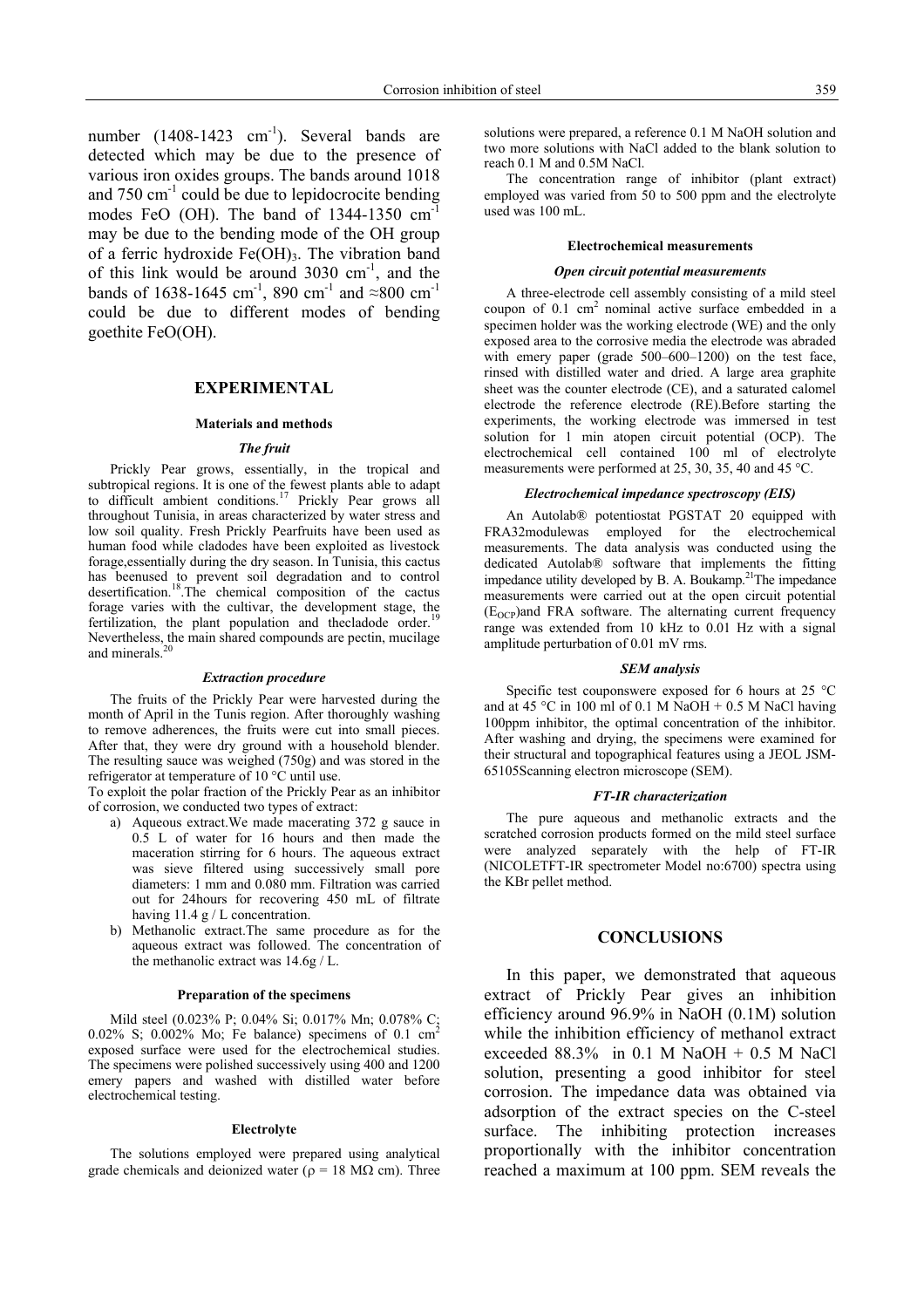number  $(1408-1423 \text{ cm}^{-1})$ . Several bands are detected which may be due to the presence of various iron oxides groups. The bands around 1018 and  $750 \text{ cm}^{-1}$  could be due to lepidocrocite bending modes FeO (OH). The band of 1344-1350 cm<sup>-1</sup> may be due to the bending mode of the OH group of a ferric hydroxide  $Fe(OH)_{3}$ . The vibration band of this link would be around  $3030 \text{ cm}^{-1}$ , and the bands of 1638-1645 cm<sup>-1</sup>, 890 cm<sup>-1</sup> and ≈800 cm<sup>-1</sup> could be due to different modes of bending goethite FeO(OH).

### **EXPERIMENTAL**

### **Materials and methods**

# *The fruit*

 Prickly Pear grows, essentially, in the tropical and subtropical regions. It is one of the fewest plants able to adapt to difficult ambient conditions.<sup>17</sup> Prickly Pear grows all throughout Tunisia, in areas characterized by water stress and low soil quality. Fresh Prickly Pearfruits have been used as human food while cladodes have been exploited as livestock forage,essentially during the dry season. In Tunisia, this cactus has beenused to prevent soil degradation and to control desertification.18.The chemical composition of the cactus forage varies with the cultivar, the development stage, the fertilization, the plant population and thecladode order.<sup>19</sup> Nevertheless, the main shared compounds are pectin, mucilage and minerals.<sup>20</sup>

#### *Extraction procedure*

 The fruits of the Prickly Pear were harvested during the month of April in the Tunis region. After thoroughly washing to remove adherences, the fruits were cut into small pieces. After that, they were dry ground with a household blender. The resulting sauce was weighed (750g) and was stored in the refrigerator at temperature of 10 °C until use.

To exploit the polar fraction of the Prickly Pear as an inhibitor of corrosion, we conducted two types of extract:

- a) Aqueous extract.We made macerating 372 g sauce in 0.5 L of water for 16 hours and then made the maceration stirring for 6 hours. The aqueous extract was sieve filtered using successively small pore diameters: 1 mm and 0.080 mm. Filtration was carried out for 24hours for recovering 450 mL of filtrate having 11.4 g / L concentration.
- b) Methanolic extract.The same procedure as for the aqueous extract was followed. The concentration of the methanolic extract was 14.6g / L.

### **Preparation of the specimens**

 Mild steel (0.023% P; 0.04% Si; 0.017% Mn; 0.078% C; 0.02% S; 0.002% Mo; Fe balance) specimens of 0.1  $\text{cm}^2$ exposed surface were used for the electrochemical studies. The specimens were polished successively using 400 and 1200 emery papers and washed with distilled water before electrochemical testing.

### **Electrolyte**

 The solutions employed were prepared using analytical grade chemicals and deionized water ( $\rho = 18$  M $\Omega$  cm). Three solutions were prepared, a reference 0.1 M NaOH solution and two more solutions with NaCl added to the blank solution to reach 0.1 M and 0.5M NaCl.

 The concentration range of inhibitor (plant extract) employed was varied from 50 to 500 ppm and the electrolyte used was 100 mL.

### **Electrochemical measurements**

### *Open circuit potential measurements*

 A three-electrode cell assembly consisting of a mild steel coupon of  $0.1 \text{ cm}^2$  nominal active surface embedded in a specimen holder was the working electrode (WE) and the only exposed area to the corrosive media the electrode was abraded with emery paper (grade 500–600–1200) on the test face, rinsed with distilled water and dried. A large area graphite sheet was the counter electrode (CE), and a saturated calomel electrode the reference electrode (RE).Before starting the experiments, the working electrode was immersed in test solution for 1 min atopen circuit potential (OCP). The electrochemical cell contained 100 ml of electrolyte measurements were performed at 25, 30, 35, 40 and 45 °C.

### *Electrochemical impedance spectroscopy (EIS)*

 An Autolab® potentiostat PGSTAT 20 equipped with FRA32modulewas employed for the electrochemical measurements. The data analysis was conducted using the dedicated Autolab® software that implements the fitting impedance utility developed by B. A. Boukamp.<sup>21</sup>The impedance measurements were carried out at the open circuit potential  $(E<sub>OCP</sub>)$ and FRA software. The alternating current frequency range was extended from 10 kHz to 0.01 Hz with a signal amplitude perturbation of 0.01 mV rms.

### *SEM analysis*

 Specific test couponswere exposed for 6 hours at 25 °C and at 45 °C in 100 ml of 0.1 M NaOH + 0.5 M NaCl having 100ppm inhibitor, the optimal concentration of the inhibitor. After washing and drying, the specimens were examined for their structural and topographical features using a JEOL JSM-65105Scanning electron microscope (SEM).

#### *FT-IR characterization*

 The pure aqueous and methanolic extracts and the scratched corrosion products formed on the mild steel surface were analyzed separately with the help of FT-IR (NICOLETFT-IR spectrometer Model no:6700) spectra using the KBr pellet method.

### **CONCLUSIONS**

In this paper, we demonstrated that aqueous extract of Prickly Pear gives an inhibition efficiency around 96.9% in NaOH (0.1M) solution while the inhibition efficiency of methanol extract exceeded  $88.3\%$  in 0.1 M NaOH + 0.5 M NaCl solution, presenting a good inhibitor for steel corrosion. The impedance data was obtained via adsorption of the extract species on the C-steel surface. The inhibiting protection increases proportionally with the inhibitor concentration reached a maximum at 100 ppm. SEM reveals the